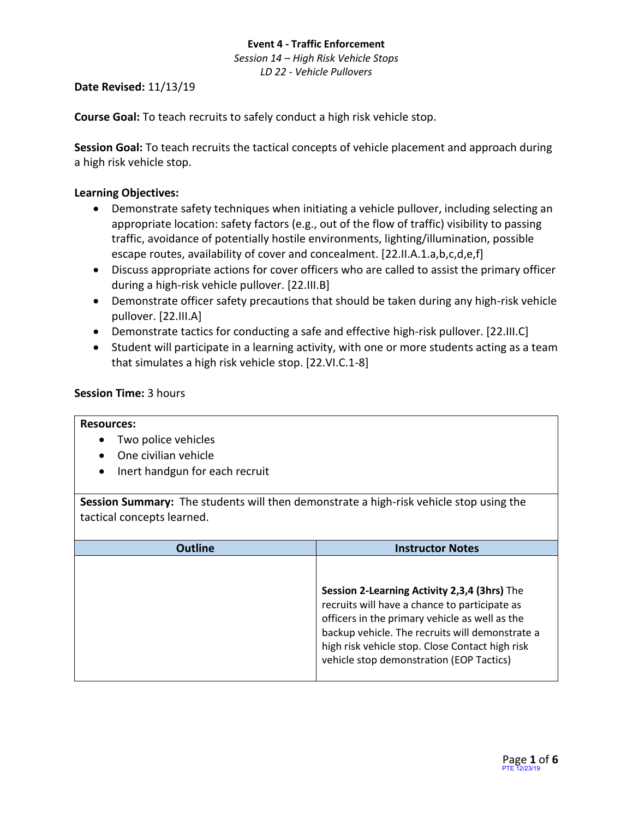*Session 14 – High Risk Vehicle Stops LD 22 - Vehicle Pullovers*

#### **Date Revised:** 11/13/19

**Course Goal:** To teach recruits to safely conduct a high risk vehicle stop.

**Session Goal:** To teach recruits the tactical concepts of vehicle placement and approach during a high risk vehicle stop.

### **Learning Objectives:**

- Demonstrate safety techniques when initiating a vehicle pullover, including selecting an appropriate location: safety factors (e.g., out of the flow of traffic) visibility to passing traffic, avoidance of potentially hostile environments, lighting/illumination, possible escape routes, availability of cover and concealment. [22.II.A.1.a,b,c,d,e,f]
- Discuss appropriate actions for cover officers who are called to assist the primary officer during a high-risk vehicle pullover. [22.III.B]
- Demonstrate officer safety precautions that should be taken during any high-risk vehicle pullover. [22.III.A]
- Demonstrate tactics for conducting a safe and effective high-risk pullover. [22.III.C]
- Student will participate in a learning activity, with one or more students acting as a team that simulates a high risk vehicle stop. [22.VI.C.1-8]

#### **Session Time:** 3 hours

#### **Resources:**

- Two police vehicles
- One civilian vehicle
- Inert handgun for each recruit

**Session Summary:** The students will then demonstrate a high-risk vehicle stop using the tactical concepts learned.

| <b>Outline</b> | <b>Instructor Notes</b>                                                                                                                                                                                                                                                                           |
|----------------|---------------------------------------------------------------------------------------------------------------------------------------------------------------------------------------------------------------------------------------------------------------------------------------------------|
|                | Session 2-Learning Activity 2,3,4 (3hrs) The<br>recruits will have a chance to participate as<br>officers in the primary vehicle as well as the<br>backup vehicle. The recruits will demonstrate a<br>high risk vehicle stop. Close Contact high risk<br>vehicle stop demonstration (EOP Tactics) |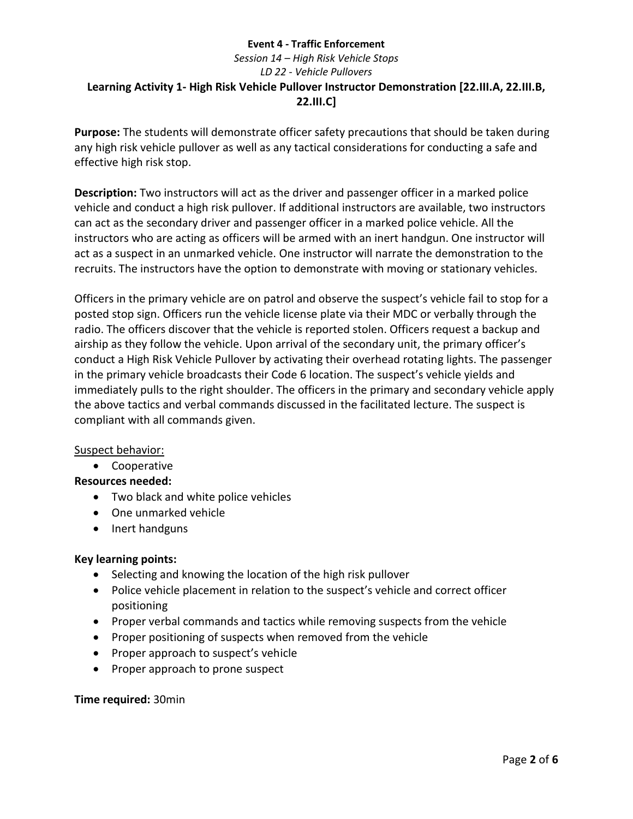# *Session 14 – High Risk Vehicle Stops LD 22 - Vehicle Pullovers* **Learning Activity 1- High Risk Vehicle Pullover Instructor Demonstration [22.III.A, 22.III.B, 22.III.C]**

**Purpose:** The students will demonstrate officer safety precautions that should be taken during any high risk vehicle pullover as well as any tactical considerations for conducting a safe and effective high risk stop.

**Description:** Two instructors will act as the driver and passenger officer in a marked police vehicle and conduct a high risk pullover. If additional instructors are available, two instructors can act as the secondary driver and passenger officer in a marked police vehicle. All the instructors who are acting as officers will be armed with an inert handgun. One instructor will act as a suspect in an unmarked vehicle. One instructor will narrate the demonstration to the recruits. The instructors have the option to demonstrate with moving or stationary vehicles.

Officers in the primary vehicle are on patrol and observe the suspect's vehicle fail to stop for a posted stop sign. Officers run the vehicle license plate via their MDC or verbally through the radio. The officers discover that the vehicle is reported stolen. Officers request a backup and airship as they follow the vehicle. Upon arrival of the secondary unit, the primary officer's conduct a High Risk Vehicle Pullover by activating their overhead rotating lights. The passenger in the primary vehicle broadcasts their Code 6 location. The suspect's vehicle yields and immediately pulls to the right shoulder. The officers in the primary and secondary vehicle apply the above tactics and verbal commands discussed in the facilitated lecture. The suspect is compliant with all commands given.

### Suspect behavior:

• Cooperative

### **Resources needed:**

- Two black and white police vehicles
- One unmarked vehicle
- Inert handguns

### **Key learning points:**

- Selecting and knowing the location of the high risk pullover
- Police vehicle placement in relation to the suspect's vehicle and correct officer positioning
- Proper verbal commands and tactics while removing suspects from the vehicle
- Proper positioning of suspects when removed from the vehicle
- Proper approach to suspect's vehicle
- Proper approach to prone suspect

#### **Time required:** 30min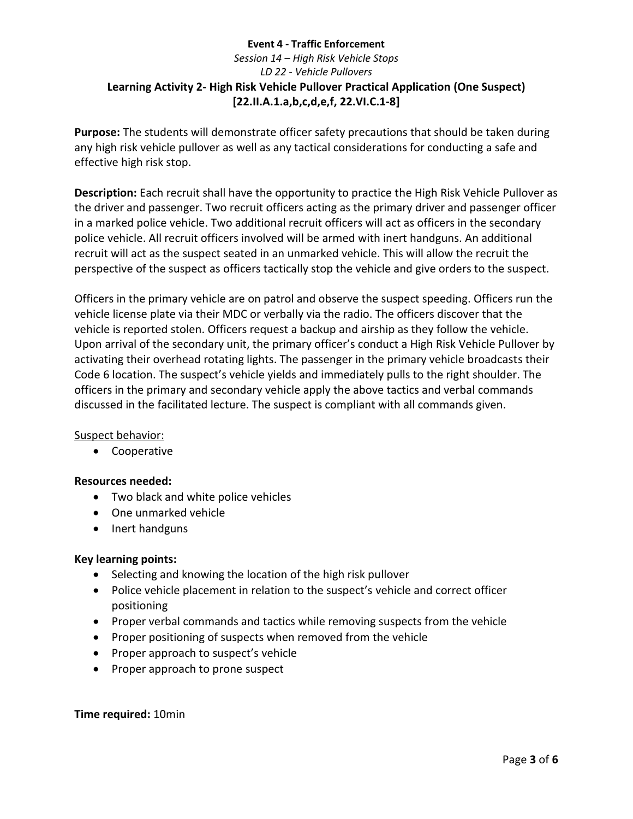# **Event 4 - Traffic Enforcement** *Session 14 – High Risk Vehicle Stops LD 22 - Vehicle Pullovers* **Learning Activity 2- High Risk Vehicle Pullover Practical Application (One Suspect) [22.II.A.1.a,b,c,d,e,f, 22.VI.C.1-8]**

**Purpose:** The students will demonstrate officer safety precautions that should be taken during any high risk vehicle pullover as well as any tactical considerations for conducting a safe and effective high risk stop.

**Description:** Each recruit shall have the opportunity to practice the High Risk Vehicle Pullover as the driver and passenger. Two recruit officers acting as the primary driver and passenger officer in a marked police vehicle. Two additional recruit officers will act as officers in the secondary police vehicle. All recruit officers involved will be armed with inert handguns. An additional recruit will act as the suspect seated in an unmarked vehicle. This will allow the recruit the perspective of the suspect as officers tactically stop the vehicle and give orders to the suspect.

Officers in the primary vehicle are on patrol and observe the suspect speeding. Officers run the vehicle license plate via their MDC or verbally via the radio. The officers discover that the vehicle is reported stolen. Officers request a backup and airship as they follow the vehicle. Upon arrival of the secondary unit, the primary officer's conduct a High Risk Vehicle Pullover by activating their overhead rotating lights. The passenger in the primary vehicle broadcasts their Code 6 location. The suspect's vehicle yields and immediately pulls to the right shoulder. The officers in the primary and secondary vehicle apply the above tactics and verbal commands discussed in the facilitated lecture. The suspect is compliant with all commands given.

### Suspect behavior:

• Cooperative

### **Resources needed:**

- Two black and white police vehicles
- One unmarked vehicle
- Inert handguns

### **Key learning points:**

- Selecting and knowing the location of the high risk pullover
- Police vehicle placement in relation to the suspect's vehicle and correct officer positioning
- Proper verbal commands and tactics while removing suspects from the vehicle
- Proper positioning of suspects when removed from the vehicle
- Proper approach to suspect's vehicle
- Proper approach to prone suspect

### **Time required:** 10min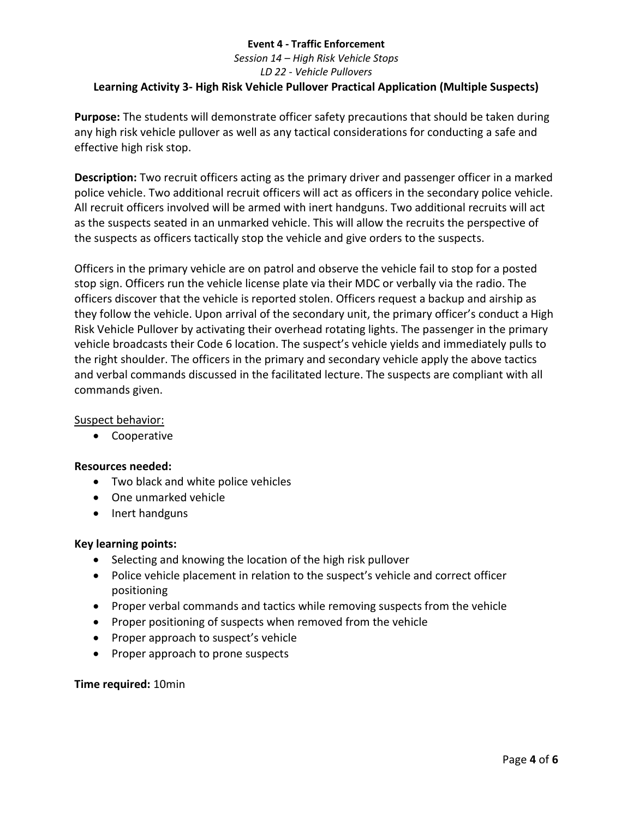# *Session 14 – High Risk Vehicle Stops LD 22 - Vehicle Pullovers* **Learning Activity 3- High Risk Vehicle Pullover Practical Application (Multiple Suspects)**

**Purpose:** The students will demonstrate officer safety precautions that should be taken during any high risk vehicle pullover as well as any tactical considerations for conducting a safe and effective high risk stop.

**Description:** Two recruit officers acting as the primary driver and passenger officer in a marked police vehicle. Two additional recruit officers will act as officers in the secondary police vehicle. All recruit officers involved will be armed with inert handguns. Two additional recruits will act as the suspects seated in an unmarked vehicle. This will allow the recruits the perspective of the suspects as officers tactically stop the vehicle and give orders to the suspects.

Officers in the primary vehicle are on patrol and observe the vehicle fail to stop for a posted stop sign. Officers run the vehicle license plate via their MDC or verbally via the radio. The officers discover that the vehicle is reported stolen. Officers request a backup and airship as they follow the vehicle. Upon arrival of the secondary unit, the primary officer's conduct a High Risk Vehicle Pullover by activating their overhead rotating lights. The passenger in the primary vehicle broadcasts their Code 6 location. The suspect's vehicle yields and immediately pulls to the right shoulder. The officers in the primary and secondary vehicle apply the above tactics and verbal commands discussed in the facilitated lecture. The suspects are compliant with all commands given.

# Suspect behavior:

• Cooperative

### **Resources needed:**

- Two black and white police vehicles
- One unmarked vehicle
- Inert handguns

### **Key learning points:**

- Selecting and knowing the location of the high risk pullover
- Police vehicle placement in relation to the suspect's vehicle and correct officer positioning
- Proper verbal commands and tactics while removing suspects from the vehicle
- Proper positioning of suspects when removed from the vehicle
- Proper approach to suspect's vehicle
- Proper approach to prone suspects

#### **Time required:** 10min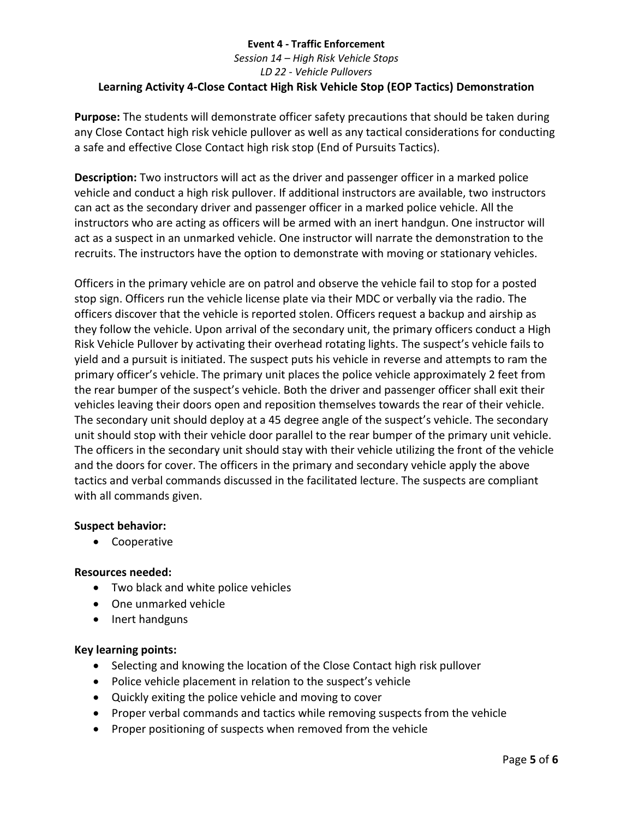# **Event 4 - Traffic Enforcement** *Session 14 – High Risk Vehicle Stops LD 22 - Vehicle Pullovers* **Learning Activity 4-Close Contact High Risk Vehicle Stop (EOP Tactics) Demonstration**

**Purpose:** The students will demonstrate officer safety precautions that should be taken during any Close Contact high risk vehicle pullover as well as any tactical considerations for conducting a safe and effective Close Contact high risk stop (End of Pursuits Tactics).

**Description:** Two instructors will act as the driver and passenger officer in a marked police vehicle and conduct a high risk pullover. If additional instructors are available, two instructors can act as the secondary driver and passenger officer in a marked police vehicle. All the instructors who are acting as officers will be armed with an inert handgun. One instructor will act as a suspect in an unmarked vehicle. One instructor will narrate the demonstration to the recruits. The instructors have the option to demonstrate with moving or stationary vehicles.

Officers in the primary vehicle are on patrol and observe the vehicle fail to stop for a posted stop sign. Officers run the vehicle license plate via their MDC or verbally via the radio. The officers discover that the vehicle is reported stolen. Officers request a backup and airship as they follow the vehicle. Upon arrival of the secondary unit, the primary officers conduct a High Risk Vehicle Pullover by activating their overhead rotating lights. The suspect's vehicle fails to yield and a pursuit is initiated. The suspect puts his vehicle in reverse and attempts to ram the primary officer's vehicle. The primary unit places the police vehicle approximately 2 feet from the rear bumper of the suspect's vehicle. Both the driver and passenger officer shall exit their vehicles leaving their doors open and reposition themselves towards the rear of their vehicle. The secondary unit should deploy at a 45 degree angle of the suspect's vehicle. The secondary unit should stop with their vehicle door parallel to the rear bumper of the primary unit vehicle. The officers in the secondary unit should stay with their vehicle utilizing the front of the vehicle and the doors for cover. The officers in the primary and secondary vehicle apply the above tactics and verbal commands discussed in the facilitated lecture. The suspects are compliant with all commands given.

### **Suspect behavior:**

• Cooperative

### **Resources needed:**

- Two black and white police vehicles
- One unmarked vehicle
- Inert handguns

### **Key learning points:**

- Selecting and knowing the location of the Close Contact high risk pullover
- Police vehicle placement in relation to the suspect's vehicle
- Quickly exiting the police vehicle and moving to cover
- Proper verbal commands and tactics while removing suspects from the vehicle
- Proper positioning of suspects when removed from the vehicle